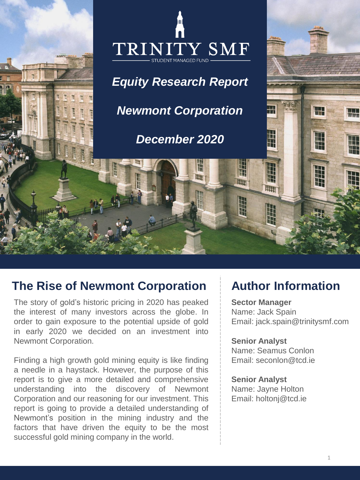

# **The Rise of Newmont Corporation Author Information**

The story of gold's historic pricing in 2020 has peaked the interest of many investors across the globe. In order to gain exposure to the potential upside of gold in early 2020 we decided on an investment into Newmont Corporation.

Finding a high growth gold mining equity is like finding a needle in a haystack. However, the purpose of this report is to give a more detailed and comprehensive understanding into the discovery of Newmont Corporation and our reasoning for our investment. This report is going to provide a detailed understanding of Newmont's position in the mining industry and the factors that have driven the equity to be the most successful gold mining company in the world.

**Sector Manager** Name: Jack Spain Email: jack.spain@trinitysmf.com

**Senior Analyst**  Name: Seamus Conlon Email: seconlon@tcd.ie

**Senior Analyst** Name: Jayne Holton Email: holtonj@tcd.ie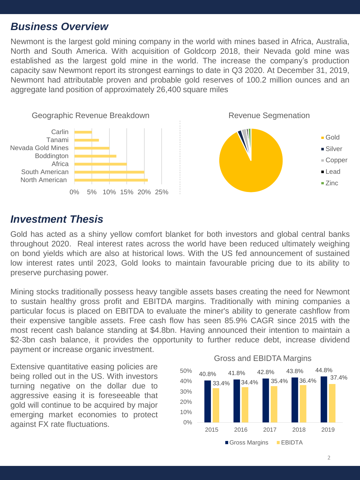### *Business Overview*

Newmont is the largest gold mining company in the world with mines based in Africa, Australia, North and South America. With acquisition of Goldcorp 2018, their Nevada gold mine was established as the largest gold mine in the world. The increase the company's production capacity saw Newmont report its strongest earnings to date in Q3 2020. At December 31, 2019, Newmont had attributable proven and probable gold reserves of 100.2 million ounces and an aggregate land position of approximately 26,400 square miles





### *Investment Thesis*

Gold has acted as a shiny yellow comfort blanket for both investors and global central banks throughout 2020. Real interest rates across the world have been reduced ultimately weighing on bond yields which are also at historical lows. With the US fed announcement of sustained low interest rates until 2023, Gold looks to maintain favourable pricing due to its ability to preserve purchasing power.

Mining stocks traditionally possess heavy tangible assets bases creating the need for Newmont to sustain healthy gross profit and EBITDA margins. Traditionally with mining companies a particular focus is placed on EBITDA to evaluate the miner's ability to generate cashflow from their expensive tangible assets. Free cash flow has seen 85.9% CAGR since 2015 with the most recent cash balance standing at \$4.8bn. Having announced their intention to maintain a \$2-3bn cash balance, it provides the opportunity to further reduce debt, increase dividend payment or increase organic investment.

Extensive quantitative easing policies are being rolled out in the US. With investors turning negative on the dollar due to aggressive easing it is foreseeable that gold will continue to be acquired by major emerging market economies to protect against FX rate fluctuations.

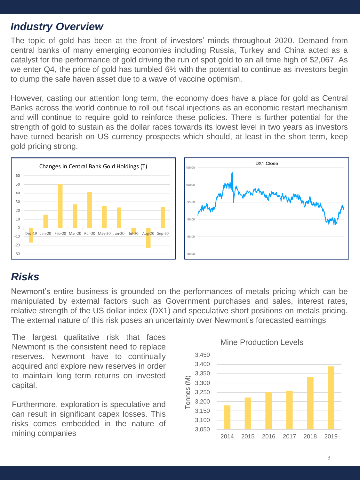## *Industry Overview*

The topic of gold has been at the front of investors' minds throughout 2020. Demand from central banks of many emerging economies including Russia, Turkey and China acted as a catalyst for the performance of gold driving the run of spot gold to an all time high of \$2,067. As we enter Q4, the price of gold has tumbled 6% with the potential to continue as investors begin to dump the safe haven asset due to a wave of vaccine optimism.

However, casting our attention long term, the economy does have a place for gold as Central Banks across the world continue to roll out fiscal injections as an economic restart mechanism and will continue to require gold to reinforce these policies. There is further potential for the strength of gold to sustain as the dollar races towards its lowest level in two years as investors have turned bearish on US currency prospects which should, at least in the short term, keep gold pricing strong.



# *Risks*

Newmont's entire business is grounded on the performances of metals pricing which can be manipulated by external factors such as Government purchases and sales, interest rates, relative strength of the US dollar index (DX1) and speculative short positions on metals pricing. The external nature of this risk poses an uncertainty over Newmont's forecasted earnings

The largest qualitative risk that faces Newmont is the consistent need to replace reserves. Newmont have to continually acquired and explore new reserves in order to maintain long term returns on invested capital.

Furthermore, exploration is speculative and can result in significant capex losses. This risks comes embedded in the nature of mining companies



#### Mine Production Levels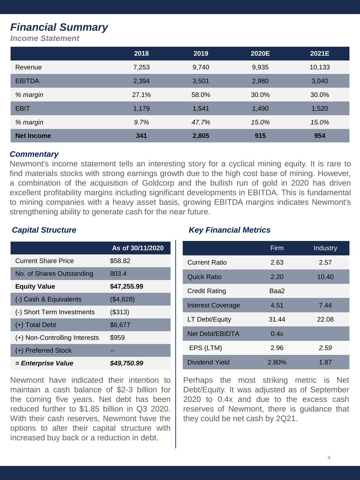# *Financial Summary*

*Income Statement*

|                   | 2018  | 2019  | 2020E | 2021E  |
|-------------------|-------|-------|-------|--------|
| Revenue           | 7,253 | 9,740 | 9,935 | 10,133 |
| <b>EBITDA</b>     | 2,394 | 3,501 | 2,980 | 3,040  |
| % margin          | 27.1% | 58.0% | 30.0% | 30.0%  |
| <b>EBIT</b>       | 1,179 | 1,541 | 1,490 | 1,520  |
| % margin          | 9.7%  | 47.7% | 15.0% | 15.0%  |
| <b>Net Income</b> | 341   | 2,805 | 915   | 954    |

#### *Commentary*

Newmont's income statement tells an interesting story for a cyclical mining equity. It is rare to find materials stocks with strong earnings growth due to the high cost base of mining. However, a combination of the acquisition of Goldcorp and the bullish run of gold in 2020 has driven excellent profitability margins including significant developments in EBITDA. This is fundamental to mining companies with a heavy asset basis, growing EBITDA margins indicates Newmont's strengthening ability to generate cash for the near future.

|                               | As of 30/11/2020 |
|-------------------------------|------------------|
| <b>Current Share Price</b>    | \$58.82          |
| No. of Shares Outstanding     | 803.4            |
| <b>Equity Value</b>           | \$47,255.99      |
| (-) Cash & Equivalents        | (\$4,828)        |
| (-) Short Term Investments    | (\$313)          |
| $(+)$ Total Debt              | \$6,677          |
| (+) Non-Controlling Interests | \$959            |
| (+) Preferred Stock           |                  |
| = Enterprise Value            | \$49,750.99      |

Newmont have indicated their intention to maintain a cash balance of \$2-3 billion for the coming five years. Net debt has been reduced further to \$1.85 billion in Q3 2020. With their cash reserves, Newmont have the options to alter their capital structure with increased buy back or a reduction in debt.

### *Capital Structure Key Financial Metrics*

|                          | Firm  | Industry |
|--------------------------|-------|----------|
| <b>Current Ratio</b>     | 2.63  | 2.57     |
| Quick Ratio              | 2.20  | 10.40    |
| Credit Rating            | Baa2  |          |
| <b>Interest Coverage</b> | 4.51  | 7.44     |
| LT Debt/Equity           | 31.44 | 22.08    |
| Net Debt/EBIDTA          | 0.4x  |          |
| EPS (LTM)                | 2.96  | 2.59     |
| Dividend Yield           | 2.80% | 1.87     |

Perhaps the most striking metric is Net Debt/Equity. It was adjusted as of September 2020 to 0.4x and due to the excess cash reserves of Newmont, there is guidance that they could be net cash by 2Q21.